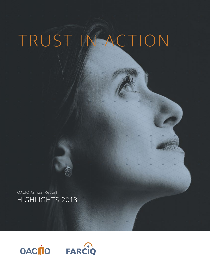# TRUST IN ACTION

OACIQ Annual Report HIGHLIGHTS 2018

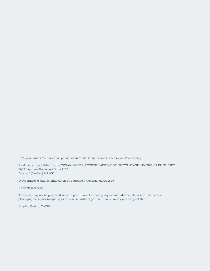*In this document the masculine gender includes the feminine and is used to facilitate reading.*

Produced and published by the ORGANISME D'AUTORÉGLEMENTATION DU COURTAGE IMMOBILIER DU QUÉBEC 4905 Lapinière Boulevard, Suite 2200 Brossard (Québec) J4Z 0G2

© Organisme d'autoréglementation du courtage immobilier du Québec

All rights reserved.

This work may not be produced, all or in part, in any form or by any means, whether electronic, mechanical, photographic, audio, magnetic, or otherwise, without prior written permission of the publisher.

Graphic Design: OACIQ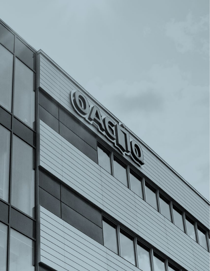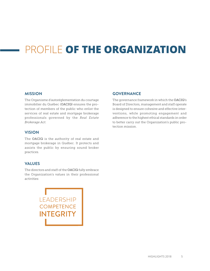### PROFILE **OF THE ORGANIZATION**

### **MISSION**

The Organisme d'autoréglementation du courtage immobilier du Québec (OACIQ) ensures the protection of members of the public who enlist the services of real estate and mortgage brokerage professionals governed by the *Real Estate Brokerage Act*.

### **VISION**

The OACIQ is the authority of real estate and mortgage brokerage in Québec. It protects and assists the public by ensuring sound broker practices.

### **VALUES**

The directors and staff of the OACIQ fully embrace the Organization's values in their professional activities:



### **GOVERNANCE**

The governance framework in which the OACIQ's Board of Directors, management and staff operate is designed to ensure cohesive and effective interventions, while promoting engagement and adherence to the highest ethical standards in order to better carry out the Organization's public protection mission.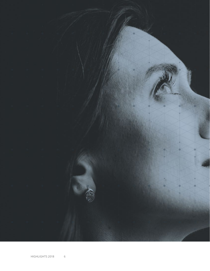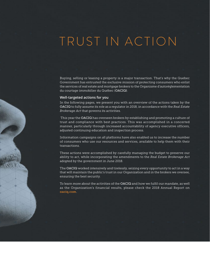## TRUST IN ACTION

Buying, selling or leasing a property is a major transaction. That's why the Quebec Government has entrusted the exclusive mission of protecting consumers who enlist the services of real estate and mortgage brokers to the Organisme d'autoréglementation du courtage immobilier du Québec (OACIQ).

#### **Well-targeted actions for you**

In the following pages, we present you with an overview of the actions taken by the OACIQ to fully assume its role as a regulator in 2018, in accordance with the *Real Estate Brokerage Act* that governs its activities.

 This year the OACIQ has overseen brokers by establishing and promoting a culture of trust and compliance with best practices. This was accomplished in a concerted manner, particularly through increased accountability of agency executive officers, adjusted continuing education and inspection process.

Information campaigns on all platforms have also enabled us to increase the number of consumers who use our resources and services, available to help them with their transactions.

These actions were accomplished by carefully managing the budget to preserve our ability to act, while incorporating the amendments to the *Real Estate Brokerage Act* adopted by the government in June 2018.

The OACIQ worked intensively and tirelessly, seizing every opportunity to act in a way that will maintain the public's trust in our Organization and in the brokers we oversee, ensuring the best security.

To learn more about the activities of the OACIQ and how we fulfil our mandate, as well as the Organization's financial results, please check the 2018 Annual Report on oaciq.com.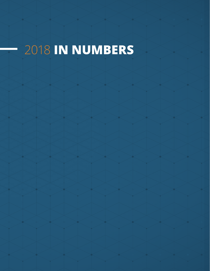# **IN NUMBERS**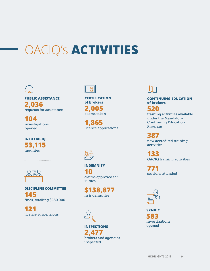## OACIQ's **ACTIVITIES**

### $6\degree$

**PUBLIC ASSISTANCE 2,036**  requests for assistance

**104** investigations opened

**INFO OACIQ 53,115**  inquiries



**DISCIPLINE COMMITTEE 145** fines, totalling \$280,000

....................................

**121** licence suspensions



**CERTIFICATION of brokers 2,005** exams taken

**1,865** licence applications



**INDEMNITY**

**10** claims approved for 11 files

**\$138,877**  in indemnities



**INSPECTIONS 2,477** brokers and agencies inspected



### **CONTINUING EDUCATION of brokers**

**520** training activities available under the Mandatory Continuing Education Program

**387** new accredited training activities

**133** OACIQ training activities

**771** sessions attended



**SYNDIC 583** investigations opened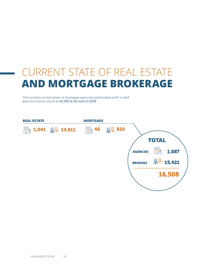### CURRENT STATE OF REAL ESTATE **AND MORTGAGE BROKERAGE**

The number of real estate or mortgage agencies and brokers with a valid practice licence stood at 16,508 at the end of 2018.

 $\overline{\phantom{a}}$ 

| <b>REAL ESTATE</b> |                                                                   | <b>MORTGAGE</b>             |     |                 |                    |
|--------------------|-------------------------------------------------------------------|-----------------------------|-----|-----------------|--------------------|
| <u>Fh</u>          | $1,041 \quad \textcircled{\tiny\rm R} \textup{\tiny\rm R}$ 14,611 | $\frac{1}{\frac{1}{2}n}$ 46 | 810 |                 |                    |
|                    |                                                                   |                             |     |                 | <b>TOTAL</b>       |
|                    |                                                                   |                             |     | <b>AGENCIES</b> | <u>Fh</u><br>1,087 |
|                    |                                                                   |                             |     | <b>BROKERS</b>  | 88 15,421          |
|                    |                                                                   |                             |     |                 | 16,508             |
|                    |                                                                   |                             |     |                 |                    |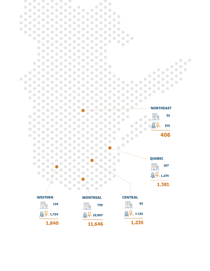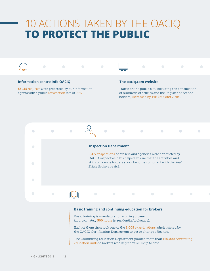### 10 ACTIONS TAKEN BY THE OACIQ **TO PROTECT THE PUBLIC**



Traffic on the public site, including the consultation of hundreds of articles and the Register of licence holders, increased by 14% (985,809 visits). 53,115 requests were processed by our information



#### **Basic training and continuing education for brokers**

Basic training is mandatory for aspiring brokers (approximately 500 hours in residential brokerage).

Each of them then took one of the 2,005 examinations administered by the OACIQ Certification Department to get or change a licence.

The Continuing Education Department granted more than 156,000 continuing education units to brokers who kept their skills up to date.

agents with a public satisfaction rate of 98%.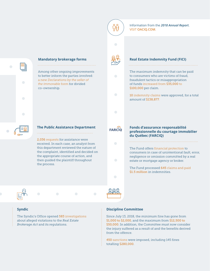### **Mandatory brokerage forms**

Among other ongoing improvements to better inform the parties involved: a new *Declarations by the seller of the immovable* form for divided co-ownership.



#### **The Public Assistance Department**

2,036 requests for assistance were received. In each case, an analyst from this department reviewed the nature of the complaint, identified and decided on the appropriate course of action, and then guided the plaintiff throughout the process.



ပိုပို

### **Real Estate Indemnity Fund (FICI)**

Information from the *2018 Annual Report*.

VISIT **OACIQ.COM**.

The maximum indemnity that can be paid to consumers who are victims of fraud, fraudulent tactics or misappropriation of funds increased from \$35,000 to \$100,000 per claim.

10 indemnity claims were approved, for a total amount of \$138,877.

**FARCIO** 

#### **Fonds d'assurance responsabilité professionnelle du courtage immobilier du Québec (FARCIQ)**

The Fund offers financial protection to consumers in case of unintentional fault, error, negligence or omission committed by a real estate or mortgage agency or broker.

The Fund processed 645 claims and paid \$1.5 million in indemnities.





### **Basic training and continuing education for brokers Syndic**

The Syndic's Office opened 583 investigations about alleged violations to the *Real Estate Brokerage Act* and its regulations.



### **Discipline Committee**

Since July 13, 2018, the minimum fine has gone from \$1,000 to \$2,000, and the maximum from \$12,500 to \$50,000. In addition, the Committee must now consider the injury suffered as a result of and the benefits derived from the offence.

450 sanctions were imposed, including 145 fines totalling \$280,000.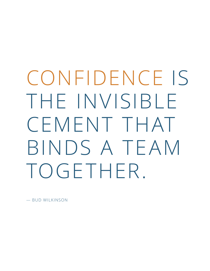# CONFIDENCE IS THE INVISIBLE CEMENT THAT BINDS A TFAM TOGFTHFR.

- BUD WILKINSON